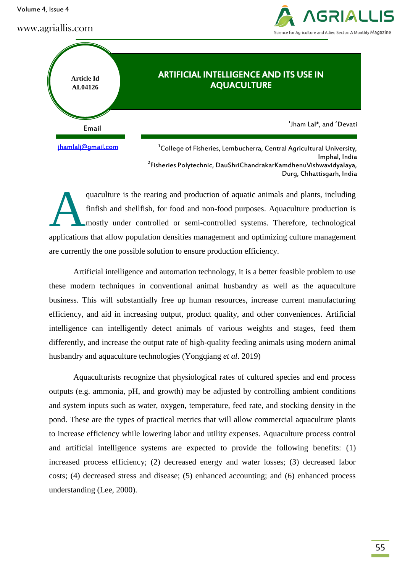Volume 4, Issue 4

www.agriallis.com





jhamlalj@gmail.com

 $\mathrm{^{1}C}$ ollege of Fisheries, Lembucherra, Central Agricultural University, Imphal, India 2 Fisheries Polytechnic, DauShriChandrakarKamdhenuVishwavidyalaya, Durg, Chhattisgarh, India

quaculture is the rearing and production of aquatic animals and plants, including finfish and shellfish, for food and non-food purposes. Aquaculture production is mostly under controlled or semi-controlled systems. Therefore, technological applications that allow population densities management and optimizing culture management are currently the one possible solution to ensure production efficiency. A

Artificial intelligence and automation technology, it is a better feasible problem to use these modern techniques in conventional animal husbandry as well as the aquaculture business. This will substantially free up human resources, increase current manufacturing efficiency, and aid in increasing output, product quality, and other conveniences. Artificial intelligence can intelligently detect animals of various weights and stages, feed them differently, and increase the output rate of high-quality feeding animals using modern animal husbandry and aquaculture technologies (Yongqiang *et al*. 2019)

Aquaculturists recognize that physiological rates of cultured species and end process outputs (e.g. ammonia, pH, and growth) may be adjusted by controlling ambient conditions and system inputs such as water, oxygen, temperature, feed rate, and stocking density in the pond. These are the types of practical metrics that will allow commercial aquaculture plants to increase efficiency while lowering labor and utility expenses. Aquaculture process control and artificial intelligence systems are expected to provide the following benefits: (1) increased process efficiency; (2) decreased energy and water losses; (3) decreased labor costs; (4) decreased stress and disease; (5) enhanced accounting; and (6) enhanced process understanding (Lee, 2000).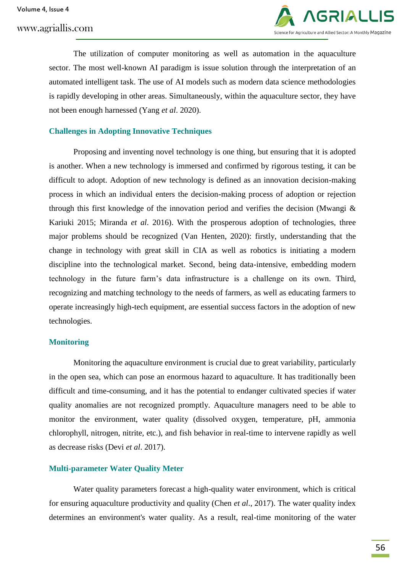# www.agriallis.com



The utilization of computer monitoring as well as automation in the aquaculture sector. The most well-known AI paradigm is issue solution through the interpretation of an automated intelligent task. The use of AI models such as modern data science methodologies is rapidly developing in other areas. Simultaneously, within the aquaculture sector, they have not been enough harnessed (Yang *et al*. 2020).

## **Challenges in Adopting Innovative Techniques**

Proposing and inventing novel technology is one thing, but ensuring that it is adopted is another. When a new technology is immersed and confirmed by rigorous testing, it can be difficult to adopt. Adoption of new technology is defined as an innovation decision-making process in which an individual enters the decision-making process of adoption or rejection through this first knowledge of the innovation period and verifies the decision (Mwangi & Kariuki 2015; Miranda *et al*. 2016). With the prosperous adoption of technologies, three major problems should be recognized (Van Henten, 2020): firstly, understanding that the change in technology with great skill in CIA as well as robotics is initiating a modern discipline into the technological market. Second, being data-intensive, embedding modern technology in the future farm's data infrastructure is a challenge on its own. Third, recognizing and matching technology to the needs of farmers, as well as educating farmers to operate increasingly high-tech equipment, are essential success factors in the adoption of new technologies.

#### **Monitoring**

Monitoring the aquaculture environment is crucial due to great variability, particularly in the open sea, which can pose an enormous hazard to aquaculture. It has traditionally been difficult and time-consuming, and it has the potential to endanger cultivated species if water quality anomalies are not recognized promptly. Aquaculture managers need to be able to monitor the environment, water quality (dissolved oxygen, temperature, pH, ammonia chlorophyll, nitrogen, nitrite, etc.), and fish behavior in real-time to intervene rapidly as well as decrease risks (Devi *et al*. 2017).

#### **Multi-parameter Water Quality Meter**

Water quality parameters forecast a high-quality water environment, which is critical for ensuring aquaculture productivity and quality (Chen *et al*., 2017). The water quality index determines an environment's water quality. As a result, real-time monitoring of the water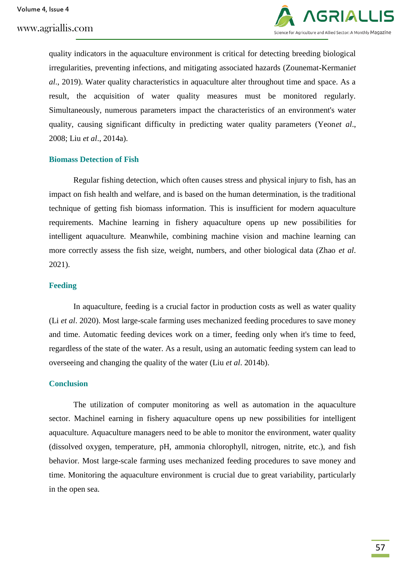www.agriallis.com



quality indicators in the aquaculture environment is critical for detecting breeding biological irregularities, preventing infections, and mitigating associated hazards (Zounemat-Kermani*et al*., 2019). Water quality characteristics in aquaculture alter throughout time and space. As a result, the acquisition of water quality measures must be monitored regularly. Simultaneously, numerous parameters impact the characteristics of an environment's water quality, causing significant difficulty in predicting water quality parameters (Yeon*et al*., 2008; Liu *et al*., 2014a).

#### **Biomass Detection of Fish**

Regular fishing detection, which often causes stress and physical injury to fish, has an impact on fish health and welfare, and is based on the human determination, is the traditional technique of getting fish biomass information. This is insufficient for modern aquaculture requirements. Machine learning in fishery aquaculture opens up new possibilities for intelligent aquaculture. Meanwhile, combining machine vision and machine learning can more correctly assess the fish size, weight, numbers, and other biological data (Zhao *et al*. 2021).

## **Feeding**

In aquaculture, feeding is a crucial factor in production costs as well as water quality (Li *et al*. 2020). Most large-scale farming uses mechanized feeding procedures to save money and time. Automatic feeding devices work on a timer, feeding only when it's time to feed, regardless of the state of the water. As a result, using an automatic feeding system can lead to overseeing and changing the quality of the water (Liu *et al*. 2014b).

#### **Conclusion**

The utilization of computer monitoring as well as automation in the aquaculture sector. Machinel earning in fishery aquaculture opens up new possibilities for intelligent aquaculture. Aquaculture managers need to be able to monitor the environment, water quality (dissolved oxygen, temperature, pH, ammonia chlorophyll, nitrogen, nitrite, etc.), and fish behavior. Most large-scale farming uses mechanized feeding procedures to save money and time. Monitoring the aquaculture environment is crucial due to great variability, particularly in the open sea.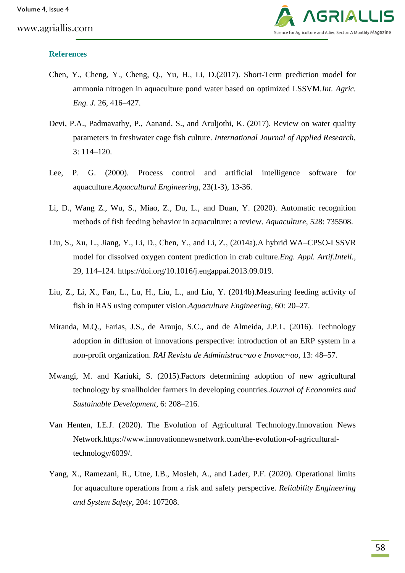

# **References**

- Chen, Y., Cheng, Y., Cheng, Q., Yu, H., Li, D.(2017). Short-Term prediction model for ammonia nitrogen in aquaculture pond water based on optimized LSSVM.*Int. Agric. Eng. J.* 26, 416–427.
- Devi, P.A., Padmavathy, P., Aanand, S., and Aruljothi, K. (2017). Review on water quality parameters in freshwater cage fish culture. *International Journal of Applied Research,* 3: 114–120.
- Lee, P. G. (2000). Process control and artificial intelligence software for aquaculture.*Aquacultural Engineering*, 23(1-3), 13-36.
- Li, D., Wang Z., Wu, S., Miao, Z., Du, L., and Duan, Y. (2020). Automatic recognition methods of fish feeding behavior in aquaculture: a review. *Aquaculture*, 528: 735508.
- Liu, S., Xu, L., Jiang, Y., Li, D., Chen, Y., and Li, Z., (2014a).A hybrid WA–CPSO-LSSVR model for dissolved oxygen content prediction in crab culture.*Eng. Appl. Artif.Intell.,* 29, 114–124. https://doi.org/10.1016/j.engappai.2013.09.019.
- Liu, Z., Li, X., Fan, L., Lu, H., Liu, L., and Liu, Y. (2014b).Measuring feeding activity of fish in RAS using computer vision.*Aquaculture Engineering*, 60: 20–27.
- Miranda, M.Q., Farias, J.S., de Araujo, S.C., and de Almeida, J.P.L. (2016). Technology adoption in diffusion of innovations perspective: introduction of an ERP system in a non-profit organization. *RAI Revista de Administrac~ao e Inovac~ao,* 13: 48–57.
- Mwangi, M. and Kariuki, S. (2015).Factors determining adoption of new agricultural technology by smallholder farmers in developing countries.*Journal of Economics and Sustainable Development*, 6: 208–216.
- Van Henten, I.E.J. (2020). The Evolution of Agricultural Technology.Innovation News Network.https://www.innovationnewsnetwork.com/the-evolution-of-agriculturaltechnology/6039/.
- Yang, X., Ramezani, R., Utne, I.B., Mosleh, A., and Lader, P.F. (2020). Operational limits for aquaculture operations from a risk and safety perspective. *Reliability Engineering and System Safety*, 204: 107208.